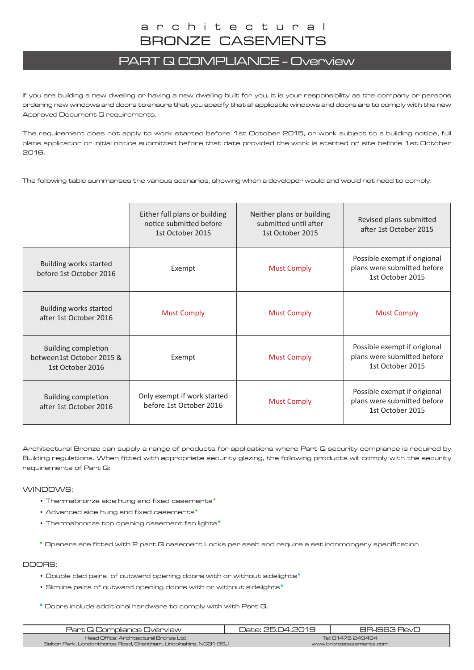## PART Q COMPLIANCE - Overview

If you are building a new dwelling or having a new dwelling built for you, it is your responsibility as the company or persons ordering new windows and doors to ensure that you specify that all applicable windows and doors are to comply with the new Approved Document Q requirements.

The requirement does not apply to work started before 1st October 2015, or work subject to a building notice, full plans application or initial notice submitted before that date provided the work is started on site before 1st October 2016.

The following table summarises the various scenarios, showing when a developer would and would not need to comply:

|                                                                             | Either full plans or building<br>notice submitted before<br>1st October 2015 | Neither plans or building<br>submitted until after<br>1st October 2015 | Revised plans submitted<br>after 1st October 2015                               |
|-----------------------------------------------------------------------------|------------------------------------------------------------------------------|------------------------------------------------------------------------|---------------------------------------------------------------------------------|
| Building works started<br>before 1st October 2016                           | Exempt                                                                       | <b>Must Comply</b>                                                     | Possible exempt if origional<br>plans were submitted before<br>1st October 2015 |
| Building works started<br>after 1st October 2016                            | <b>Must Comply</b>                                                           | <b>Must Comply</b>                                                     | <b>Must Comply</b>                                                              |
| <b>Building completion</b><br>between1st October 2015 &<br>1st October 2016 | Exempt                                                                       | <b>Must Comply</b>                                                     | Possible exempt if origional<br>plans were submitted before<br>1st October 2015 |
| <b>Building completion</b><br>after 1st October 2016                        | Only exempt if work started<br>before 1st October 2016                       | <b>Must Comply</b>                                                     | Possible exempt if origional<br>plans were submitted before<br>1st October 2015 |

Architectural Bronze can supply a range of products for applications where Part Q security compliance is required by Building regulations. When fitted with appropriate security glazing, the following products will comply with the security requirements of Part Q:

WINDOWS:

- Thermabronze side hung and fixed casements**\***
- Advanced side hung and fixed casements**\***
- Thermabronze top opening casement fan lights**\***
- **\*** Openers are fitted with 2 part Q casement Locks per sash and require a set ironmongery specification

## DOORS:

- Double clad pairs of outward opening doors with or without sidelights**\***
- Slimline pairs of outward opening doors with or without sidelights**\***

 **\*** Doors include additional hardware to comply with with Part Q.

| Part Q Compliance Overview                                       | Date: 25.04.2019        | BR-IS63 RevD |
|------------------------------------------------------------------|-------------------------|--------------|
| Head Office: Architectural Bronze Ltd.                           | Tel: 01476 249494       |              |
| Belton Park, Londonthorpe Road, Grantham, Lincolnshire, NG31 9SJ | www.bronzecasements.com |              |